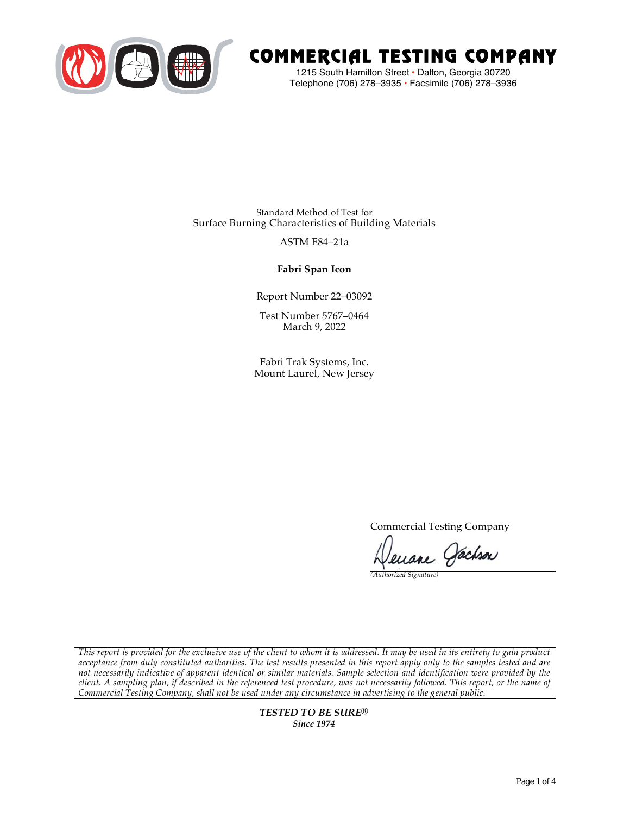

# COMMERCIAL TESTING COMPANY

1215 South Hamilton Street • Dalton, Georgia 30720 Telephone (706) 278–3935 **•** Facsimile (706) 278–3936

Standard Method of Test for Surface Burning Characteristics of Building Materials

ASTM E84–21a

**Fabri Span Icon**

Report Number 22–03092

Test Number 5767–0464 March 9, 2022

Fabri Trak Systems, Inc. Mount Laurel, New Jersey

Commercial Testing Company

enane Jachson

*(Authorized Signature)* 

*This report is provided for the exclusive use of the client to whom it is addressed. It may be used in its entirety to gain product acceptance from duly constituted authorities. The test results presented in this report apply only to the samples tested and are not necessarily indicative of apparent identical or similar materials. Sample selection and identification were provided by the client. A sampling plan, if described in the referenced test procedure, was not necessarily followed. This report, or the name of Commercial Testing Company, shall not be used under any circumstance in advertising to the general public.* 

> *TESTED TO BE SURE® Since 1974*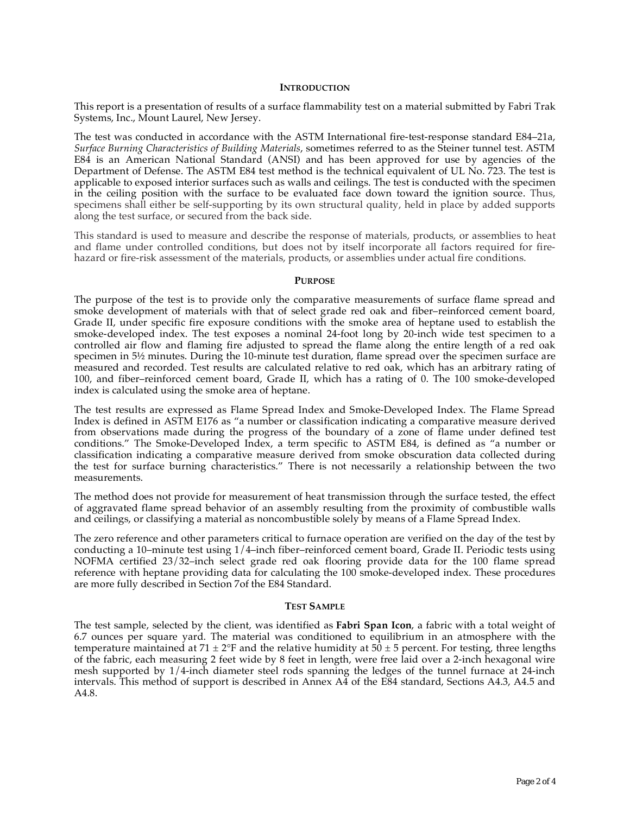### **INTRODUCTION**

This report is a presentation of results of a surface flammability test on a material submitted by Fabri Trak Systems, Inc., Mount Laurel, New Jersey.

The test was conducted in accordance with the ASTM International fire-test-response standard E84–21a, *Surface Burning Characteristics of Building Materials*, sometimes referred to as the Steiner tunnel test. ASTM E84 is an American National Standard (ANSI) and has been approved for use by agencies of the Department of Defense. The ASTM E84 test method is the technical equivalent of UL No. 723. The test is applicable to exposed interior surfaces such as walls and ceilings. The test is conducted with the specimen in the ceiling position with the surface to be evaluated face down toward the ignition source. Thus, specimens shall either be self-supporting by its own structural quality, held in place by added supports along the test surface, or secured from the back side.

This standard is used to measure and describe the response of materials, products, or assemblies to heat and flame under controlled conditions, but does not by itself incorporate all factors required for firehazard or fire-risk assessment of the materials, products, or assemblies under actual fire conditions.

#### **PURPOSE**

The purpose of the test is to provide only the comparative measurements of surface flame spread and smoke development of materials with that of select grade red oak and fiber–reinforced cement board, Grade II, under specific fire exposure conditions with the smoke area of heptane used to establish the smoke-developed index. The test exposes a nominal 24-foot long by 20-inch wide test specimen to a controlled air flow and flaming fire adjusted to spread the flame along the entire length of a red oak specimen in  $5\frac{1}{2}$  minutes. During the 10-minute test duration, flame spread over the specimen surface are measured and recorded. Test results are calculated relative to red oak, which has an arbitrary rating of 100, and fiber–reinforced cement board, Grade II, which has a rating of 0. The 100 smoke-developed index is calculated using the smoke area of heptane.

The test results are expressed as Flame Spread Index and Smoke-Developed Index. The Flame Spread Index is defined in ASTM E176 as "a number or classification indicating a comparative measure derived from observations made during the progress of the boundary of a zone of flame under defined test conditions." The Smoke-Developed Index, a term specific to ASTM E84, is defined as "a number or classification indicating a comparative measure derived from smoke obscuration data collected during the test for surface burning characteristics." There is not necessarily a relationship between the two measurements.

The method does not provide for measurement of heat transmission through the surface tested, the effect of aggravated flame spread behavior of an assembly resulting from the proximity of combustible walls and ceilings, or classifying a material as noncombustible solely by means of a Flame Spread Index.

The zero reference and other parameters critical to furnace operation are verified on the day of the test by conducting a 10–minute test using 1/4–inch fiber–reinforced cement board, Grade II. Periodic tests using NOFMA certified 23/32–inch select grade red oak flooring provide data for the 100 flame spread reference with heptane providing data for calculating the 100 smoke-developed index. These procedures are more fully described in Section 7of the E84 Standard.

#### **TEST SAMPLE**

The test sample, selected by the client, was identified as **Fabri Span Icon**, a fabric with a total weight of 6.7 ounces per square yard. The material was conditioned to equilibrium in an atmosphere with the temperature maintained at  $71 \pm 2$ °F and the relative humidity at  $50 \pm 5$  percent. For testing, three lengths of the fabric, each measuring 2 feet wide by 8 feet in length, were free laid over a 2-inch hexagonal wire mesh supported by 1/4-inch diameter steel rods spanning the ledges of the tunnel furnace at 24-inch intervals. This method of support is described in Annex A4 of the E84 standard, Sections A4.3, A4.5 and A4.8.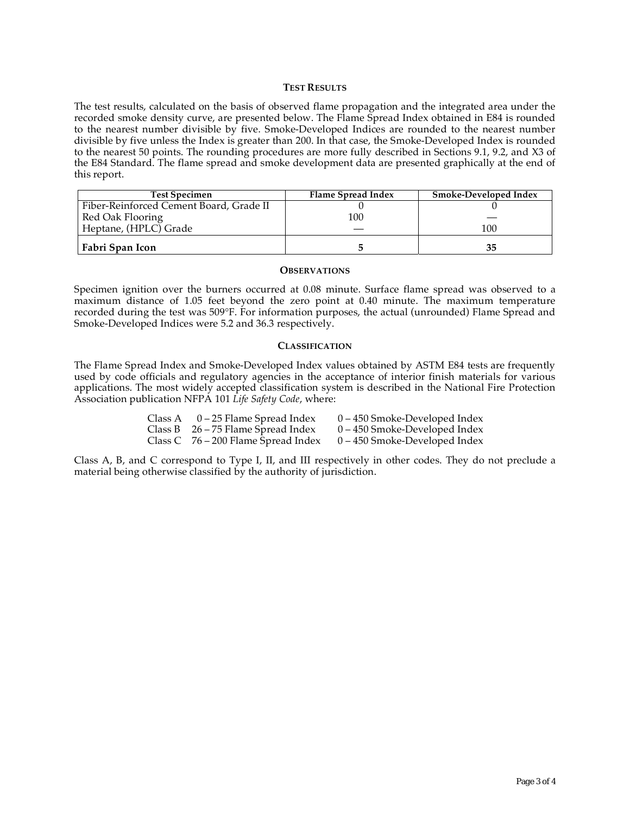### **TEST RESULTS**

The test results, calculated on the basis of observed flame propagation and the integrated area under the recorded smoke density curve, are presented below. The Flame Spread Index obtained in E84 is rounded to the nearest number divisible by five. Smoke-Developed Indices are rounded to the nearest number divisible by five unless the Index is greater than 200. In that case, the Smoke-Developed Index is rounded to the nearest 50 points. The rounding procedures are more fully described in Sections 9.1, 9.2, and X3 of the E84 Standard. The flame spread and smoke development data are presented graphically at the end of this report.

| <b>Test Specimen</b>                    | Flame Spread Index | Smoke-Developed Index |
|-----------------------------------------|--------------------|-----------------------|
| Fiber-Reinforced Cement Board, Grade II |                    |                       |
| Red Oak Flooring                        | 100                |                       |
| Heptane, (HPLC) Grade                   |                    | 100                   |
| Fabri Span Icon                         |                    |                       |

#### **OBSERVATIONS**

Specimen ignition over the burners occurred at 0.08 minute. Surface flame spread was observed to a maximum distance of 1.05 feet beyond the zero point at 0.40 minute. The maximum temperature recorded during the test was 509°F. For information purposes, the actual (unrounded) Flame Spread and Smoke-Developed Indices were 5.2 and 36.3 respectively.

#### **CLASSIFICATION**

The Flame Spread Index and Smoke-Developed Index values obtained by ASTM E84 tests are frequently used by code officials and regulatory agencies in the acceptance of interior finish materials for various applications. The most widely accepted classification system is described in the National Fire Protection Association publication NFPA 101 *Life Safety Code*, where:

| Class A $0-25$ Flame Spread Index     | $0 - 450$ Smoke-Developed Index |
|---------------------------------------|---------------------------------|
| Class B $26 - 75$ Flame Spread Index  | $0 - 450$ Smoke-Developed Index |
| Class C $76 - 200$ Flame Spread Index | $0 - 450$ Smoke-Developed Index |

Class A, B, and C correspond to Type I, II, and III respectively in other codes. They do not preclude a material being otherwise classified by the authority of jurisdiction.